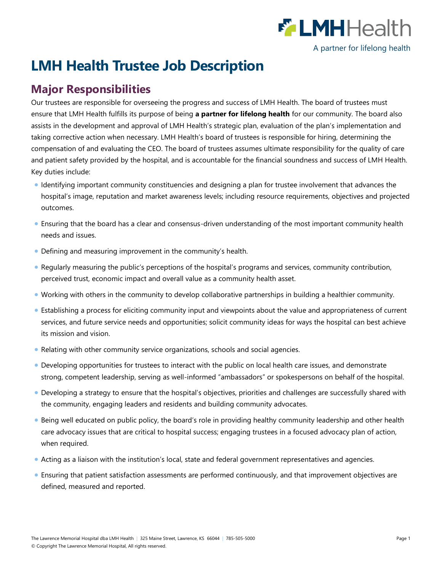

# **LMH Health Trustee Job Description**

## **Major Responsibilities**

Our trustees are responsible for overseeing the progress and success of LMH Health. The board of trustees must ensure that LMH Health fulfills its purpose of being **a partner for lifelong health** for our community. The board also assists in the development and approval of LMH Health's strategic plan, evaluation of the plan's implementation and taking corrective action when necessary. LMH Health's board of trustees is responsible for hiring, determining the compensation of and evaluating the CEO. The board of trustees assumes ultimate responsibility for the quality of care and patient safety provided by the hospital, and is accountable for the financial soundness and success of LMH Health. Key duties include:

- Identifying important community constituencies and designing a plan for trustee involvement that advances the hospital's image, reputation and market awareness levels; including resource requirements, objectives and projected outcomes.
- Ensuring that the board has a clear and consensus-driven understanding of the most important community health needs and issues.
- Defining and measuring improvement in the community's health.
- Regularly measuring the public's perceptions of the hospital's programs and services, community contribution, perceived trust, economic impact and overall value as a community health asset.
- Working with others in the community to develop collaborative partnerships in building a healthier community.
- Establishing a process for eliciting community input and viewpoints about the value and appropriateness of current services, and future service needs and opportunities; solicit community ideas for ways the hospital can best achieve its mission and vision.
- Relating with other community service organizations, schools and social agencies.
- Developing opportunities for trustees to interact with the public on local health care issues, and demonstrate strong, competent leadership, serving as well-informed "ambassadors" or spokespersons on behalf of the hospital.
- Developing a strategy to ensure that the hospital's objectives, priorities and challenges are successfully shared with the community, engaging leaders and residents and building community advocates.
- Being well educated on public policy, the board's role in providing healthy community leadership and other health care advocacy issues that are critical to hospital success; engaging trustees in a focused advocacy plan of action, when required.
- Acting as a liaison with the institution's local, state and federal government representatives and agencies.
- Ensuring that patient satisfaction assessments are performed continuously, and that improvement objectives are defined, measured and reported.